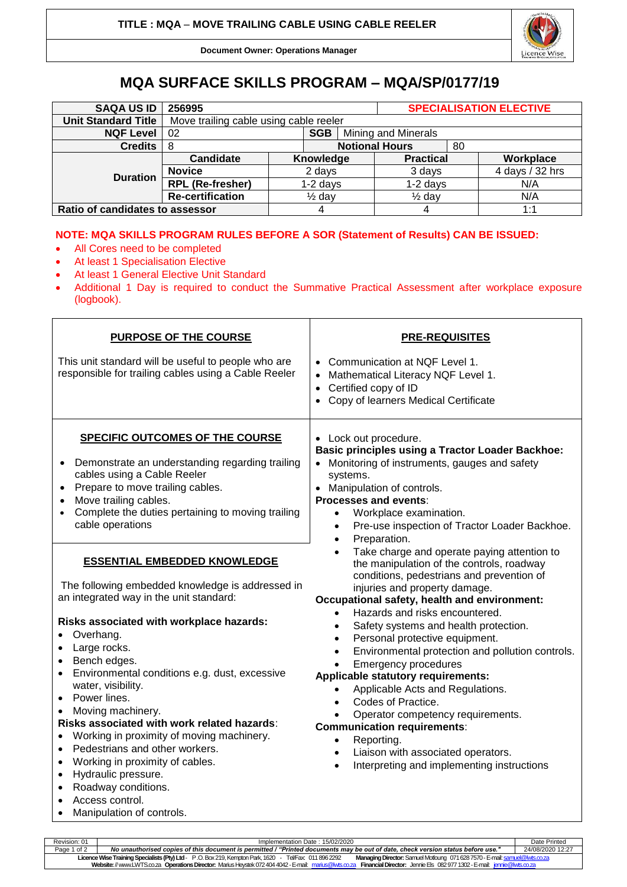

**Document Owner: Operations Manager**

## **MQA SURFACE SKILLS PROGRAM – MQA/SP/0177/19**

| <b>SAQA US ID</b>               | 256995                                 |                   |           |                            | <b>SPECIALISATION ELECTIVE</b> |    |                 |  |
|---------------------------------|----------------------------------------|-------------------|-----------|----------------------------|--------------------------------|----|-----------------|--|
| <b>Unit Standard Title</b>      | Move trailing cable using cable reeler |                   |           |                            |                                |    |                 |  |
| <b>NQF Level</b>                | <b>SGB</b><br>02                       |                   |           | <b>Mining and Minerals</b> |                                |    |                 |  |
| <b>Credits</b>                  | -8                                     |                   |           | <b>Notional Hours</b>      |                                | 80 |                 |  |
| <b>Duration</b>                 | Candidate                              |                   | Knowledge |                            | <b>Practical</b>               |    | Workplace       |  |
|                                 | <b>Novice</b>                          | 2 days            |           |                            | 3 days                         |    | 4 days / 32 hrs |  |
|                                 | <b>RPL (Re-fresher)</b>                | $1-2$ days        |           |                            | $1-2$ days                     |    | N/A             |  |
|                                 | <b>Re-certification</b>                | $\frac{1}{2}$ day |           |                            | $\frac{1}{2}$ day              |    | N/A             |  |
| Ratio of candidates to assessor |                                        |                   | 4         |                            | 4                              |    | 1:1             |  |

## **NOTE: MQA SKILLS PROGRAM RULES BEFORE A SOR (Statement of Results) CAN BE ISSUED:**

- All Cores need to be completed
- At least 1 Specialisation Elective

• Manipulation of controls.

- At least 1 General Elective Unit Standard
- Additional 1 Day is required to conduct the Summative Practical Assessment after workplace exposure (logbook).

| <b>PURPOSE OF THE COURSE</b>                                                                                                                                                                                                                                                                                                                                                                                                                                                                                                                                                                            | <b>PRE-REQUISITES</b>                                                                                                                                                                                                                                                                                                                                                                                                                                                                                                                                                                                                                                                                                                                                                             |  |  |  |  |
|---------------------------------------------------------------------------------------------------------------------------------------------------------------------------------------------------------------------------------------------------------------------------------------------------------------------------------------------------------------------------------------------------------------------------------------------------------------------------------------------------------------------------------------------------------------------------------------------------------|-----------------------------------------------------------------------------------------------------------------------------------------------------------------------------------------------------------------------------------------------------------------------------------------------------------------------------------------------------------------------------------------------------------------------------------------------------------------------------------------------------------------------------------------------------------------------------------------------------------------------------------------------------------------------------------------------------------------------------------------------------------------------------------|--|--|--|--|
| This unit standard will be useful to people who are<br>responsible for trailing cables using a Cable Reeler                                                                                                                                                                                                                                                                                                                                                                                                                                                                                             | Communication at NQF Level 1.<br>Mathematical Literacy NQF Level 1.<br>Certified copy of ID<br>Copy of learners Medical Certificate                                                                                                                                                                                                                                                                                                                                                                                                                                                                                                                                                                                                                                               |  |  |  |  |
| <b>SPECIFIC OUTCOMES OF THE COURSE</b><br>Demonstrate an understanding regarding trailing<br>$\bullet$<br>cables using a Cable Reeler<br>Prepare to move trailing cables.<br>Move trailing cables.<br>Complete the duties pertaining to moving trailing<br>$\bullet$<br>cable operations                                                                                                                                                                                                                                                                                                                | • Lock out procedure.<br><b>Basic principles using a Tractor Loader Backhoe:</b><br>• Monitoring of instruments, gauges and safety<br>systems.<br>• Manipulation of controls.<br><b>Processes and events:</b><br>Workplace examination.<br>$\bullet$<br>Pre-use inspection of Tractor Loader Backhoe.<br>$\bullet$<br>Preparation.<br>$\bullet$                                                                                                                                                                                                                                                                                                                                                                                                                                   |  |  |  |  |
| <b>ESSENTIAL EMBEDDED KNOWLEDGE</b><br>The following embedded knowledge is addressed in<br>an integrated way in the unit standard:<br>Risks associated with workplace hazards:<br>Overhang.<br>Large rocks.<br>Bench edges.<br>$\bullet$<br>Environmental conditions e.g. dust, excessive<br>٠<br>water, visibility.<br>Power lines.<br>Moving machinery.<br>Risks associated with work related hazards:<br>Working in proximity of moving machinery.<br>Pedestrians and other workers.<br>$\bullet$<br>Working in proximity of cables.<br>$\bullet$<br>Hydraulic pressure.<br>٠<br>Roadway conditions. | Take charge and operate paying attention to<br>$\bullet$<br>the manipulation of the controls, roadway<br>conditions, pedestrians and prevention of<br>injuries and property damage.<br>Occupational safety, health and environment:<br>Hazards and risks encountered.<br>Safety systems and health protection.<br>Personal protective equipment.<br>$\bullet$<br>Environmental protection and pollution controls.<br><b>Emergency procedures</b><br>Applicable statutory requirements:<br>Applicable Acts and Regulations.<br>Codes of Practice.<br>$\bullet$<br>Operator competency requirements.<br><b>Communication requirements:</b><br>Reporting.<br>$\bullet$<br>Liaison with associated operators.<br>$\bullet$<br>Interpreting and implementing instructions<br>$\bullet$ |  |  |  |  |
| Access control.<br>$\bullet$                                                                                                                                                                                                                                                                                                                                                                                                                                                                                                                                                                            |                                                                                                                                                                                                                                                                                                                                                                                                                                                                                                                                                                                                                                                                                                                                                                                   |  |  |  |  |

Revision: 01 Implementation Date : 15/02/2020 Date Printed Page 1 of 2 *No unauthorised copies of this document is permitted / "Printed documents may be out of date, check version status before use."* 24/08/2020 12:27 **Licence Wise Training Specialists (Pty) Ltd**- P .O. Box 219, Kempton Park, 1620 - Tel/Fax: 011 896 2292 **Managing Director:** Samuel Motloung 071628 7570 -E-mai[l: samuel@lwts.co.za](mailto:samuel@lwts.co.za)  **Website:**// www.LWTS.co.za **Operations Director:** Marius Heystek 072404 4042 -E-mail: [marius@lwts.co.za](mailto:marius@lwts.co.za) **Financial Director:** Jennie Els 082977 1302 -E-mail: [jennie@lwts.co.za](mailto:jennie@lwts.co.za)